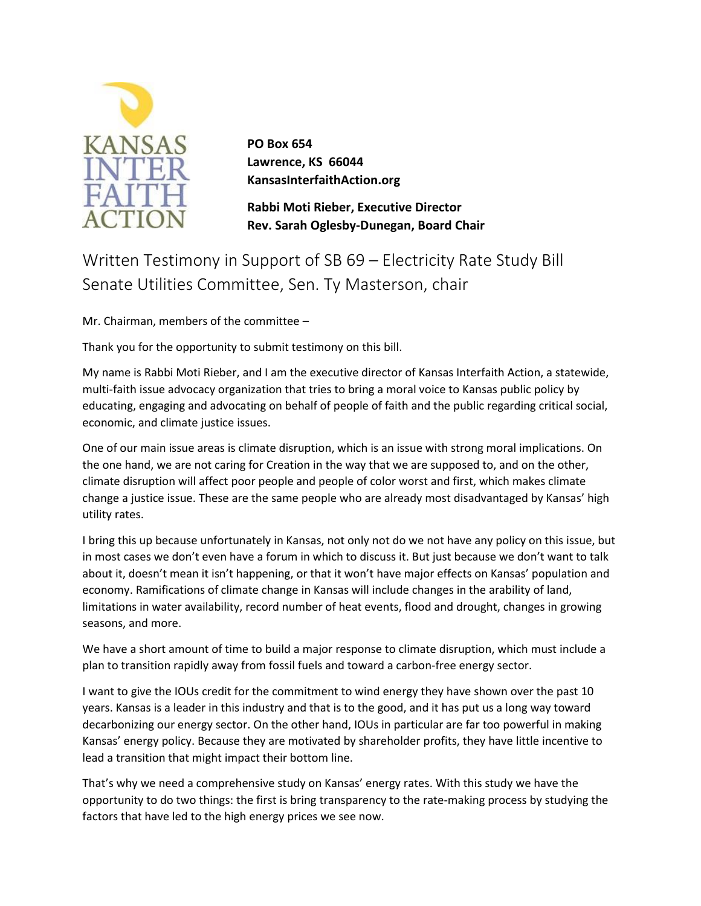

**PO Box 654 Lawrence, KS 66044 KansasInterfaithAction.org** 

**Rabbi Moti Rieber, Executive Director Rev. Sarah Oglesby-Dunegan, Board Chair** 

Written Testimony in Support of SB 69 – Electricity Rate Study Bill Senate Utilities Committee, Sen. Ty Masterson, chair

Mr. Chairman, members of the committee –

Thank you for the opportunity to submit testimony on this bill.

My name is Rabbi Moti Rieber, and I am the executive director of Kansas Interfaith Action, a statewide, multi-faith issue advocacy organization that tries to bring a moral voice to Kansas public policy by educating, engaging and advocating on behalf of people of faith and the public regarding critical social, economic, and climate justice issues.

One of our main issue areas is climate disruption, which is an issue with strong moral implications. On the one hand, we are not caring for Creation in the way that we are supposed to, and on the other, climate disruption will affect poor people and people of color worst and first, which makes climate change a justice issue. These are the same people who are already most disadvantaged by Kansas' high utility rates.

I bring this up because unfortunately in Kansas, not only not do we not have any policy on this issue, but in most cases we don't even have a forum in which to discuss it. But just because we don't want to talk about it, doesn't mean it isn't happening, or that it won't have major effects on Kansas' population and economy. Ramifications of climate change in Kansas will include changes in the arability of land, limitations in water availability, record number of heat events, flood and drought, changes in growing seasons, and more.

We have a short amount of time to build a major response to climate disruption, which must include a plan to transition rapidly away from fossil fuels and toward a carbon-free energy sector.

I want to give the IOUs credit for the commitment to wind energy they have shown over the past 10 years. Kansas is a leader in this industry and that is to the good, and it has put us a long way toward decarbonizing our energy sector. On the other hand, IOUs in particular are far too powerful in making Kansas' energy policy. Because they are motivated by shareholder profits, they have little incentive to lead a transition that might impact their bottom line.

That's why we need a comprehensive study on Kansas' energy rates. With this study we have the opportunity to do two things: the first is bring transparency to the rate-making process by studying the factors that have led to the high energy prices we see now.